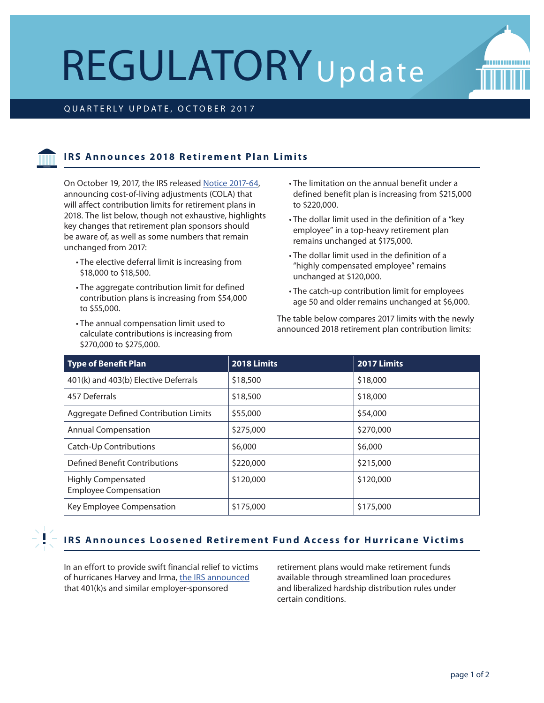# REGULATORY Update

#### QUARTERLY UPDATE, OC TOBER 2017

## **IRS Announces 2018 Retirement Plan Limits**

On October 19, 2017, the IRS released [Notice 2017-64,](https://www.irs.gov/pub/irs-drop/n-17-64.pdf) announcing cost-of-living adjustments (COLA) that will affect contribution limits for retirement plans in 2018. The list below, though not exhaustive, highlights key changes that retirement plan sponsors should be aware of, as well as some numbers that remain unchanged from 2017:

- The elective deferral limit is increasing from \$18,000 to \$18,500.
- The aggregate contribution limit for defined contribution plans is increasing from \$54,000 to \$55,000.
- The annual compensation limit used to calculate contributions is increasing from \$270,000 to \$275,000.

• The limitation on the annual benefit under a defined benefit plan is increasing from \$215,000 to \$220,000.

,,,,,,,,,,,,,,,

- The dollar limit used in the definition of a "key employee" in a top-heavy retirement plan remains unchanged at \$175,000.
- The dollar limit used in the definition of a "highly compensated employee" remains unchanged at \$120,000.
- The catch-up contribution limit for employees age 50 and older remains unchanged at \$6,000.

The table below compares 2017 limits with the newly announced 2018 retirement plan contribution limits:

| <b>Type of Benefit Plan</b>                               | 2018 Limits | 2017 Limits |
|-----------------------------------------------------------|-------------|-------------|
| 401(k) and 403(b) Elective Deferrals                      | \$18,500    | \$18,000    |
| 457 Deferrals                                             | \$18,500    | \$18,000    |
| Aggregate Defined Contribution Limits                     | \$55,000    | \$54,000    |
| <b>Annual Compensation</b>                                | \$275,000   | \$270,000   |
| <b>Catch-Up Contributions</b>                             | \$6,000     | \$6,000     |
| <b>Defined Benefit Contributions</b>                      | \$220,000   | \$215,000   |
| <b>Highly Compensated</b><br><b>Employee Compensation</b> | \$120,000   | \$120,000   |
| Key Employee Compensation                                 | \$175,000   | \$175,000   |

#### **IRS Announces Loosened Retirement Fund Access for Hurricane Victims**

In an effort to provide swift financial relief to victims of hurricanes Harvey and Irma, [the IRS announced](https://www.irs.gov/newsroom/like-harvey-retirement-plans-can-make-loans-hardship-distributions-to-victims-of-hurricane-irma) that 401(k)s and similar employer-sponsored

retirement plans would make retirement funds available through streamlined loan procedures and liberalized hardship distribution rules under certain conditions.